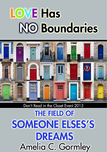# **LOVE Has NO Boundaries**



## Don't Read in the Closet Event 2013

**THE FIELD OF** SOMEONE ELSES'S **DREAMS** Amelia C. Gormley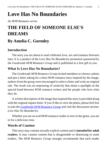# **Love Has No Boundaries**

*An M/M Romance series*

# **THE FIELD OF SOMEONE ELSE'S DREAMS**

## **By Amelia C. Gormley**

## **Introduction**

The story you are about to read celebrates love, sex and romance between men. It is a product of the *Love Has No Boundaries* promotion sponsored by the *Goodreads M/M Romance Group* and is published as a free gift to you.

## **What Is Love Has No Boundaries?**

The *Goodreads M/M Romance Group* invited members to choose a photo and pen a letter asking for a short M/M romance story inspired by the image; authors from the group were encouraged to select a letter and write an original tale. The result was an outpouring of creativity that shone a spotlight on the special bond between M/M romance writers and the people who love what they do.

A written description of the image that inspired this story is provided along with the original request letter. If you'd like to view the photo, please feel free to join the [Goodreads M/M Romance Group](http://www.goodreads.com/group/show/20149-m-m-romance) and visit the discussion section: *Love Has No Boundaries*.

Whether you are an avid M/M romance reader or new to the genre, you are in for a delicious treat.

## **Words of Caution**

This story may contain sexually explicit content and is **intended for adult readers.** It may contain content that is disagreeable or distressing to some readers. The *M/M Romance Group* strongly recommends that each reader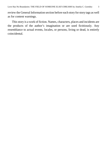review the General Information section before each story for story tags as well as for content warnings.

This story is a work of fiction. Names, characters, places and incidents are the products of the author's imagination or are used fictitiously. Any resemblance to actual events, locales, or persons, living or dead, is entirely coincidental.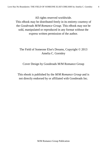All rights reserved worldwide.

This eBook may be distributed freely in its entirety courtesy of the *Goodreads M/M Romance Group*. This eBook may not be sold, manipulated or reproduced in any format without the express written permission of the author.

## The Field of Someone Else's Dreams, Copyright © 2013 Amelia C. Gormley

Cover Design by Goodreads M/M Romance Group

This ebook is published by the *M/M Romance Group* and is not directly endorsed by or affiliated with Goodreads Inc.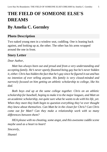# **THE FIELD OF SOMEONE ELSE'S DREAMS**

## **By Amelia C. Gormley**

## **Photo Description**

Two naked young men in a window seat, cuddling. One is leaning back against, and looking up at, the other. The other has his arms wrapped around the one in front.

## **Story Letter**

#### *Dear Author,*

*Matt has always been out and proud and from a very understanding and accepting family. He's never openly flaunted being gay but he's never hidden it, either. Chris has hidden the fact that he's gay since he figured it out and has no intention of ever telling anyone. His family is very closed-minded and narrowly focused on him getting an athletic scholarship to college, like his dad.*

*Both boys end up at the same college together. Chris on an athletic scholarship for baseball, hoping to make it to the major leagues, and Matt on an academic scholarship, not quite sure what he wants to do with his life, yet. When they meet they both begin to question everything they've ever thought they knew about themselves. Can Matt be in the closet for Chris? Can Chris come out for Matt? Can they make a relationship work with so many differences between them?*

*HEA please with no cheating, some angst, and this awesome cuddle scene maybe used as a heart to heart!*

*Sincerely,*

*Shantel*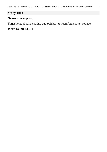## **Story Info**

**Genre:** contemporary

**Tags:** homophobia, coming out, twinks, hurt/comfort, sports, college **Word count:** 13,711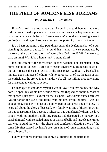# **THE FIELD OF SOMEONE ELSE'S DREAMS By Amelia C. Gormley**

If you'd asked me three months ago, I would have said there was no more thrilling sound on this planet than the resounding *crack* that happens when the bat makes contact with the ball. Even when you're not the one batting, even if you're just standing on base, awaiting your opportunity to run for the next.

It's a heart-stopping, pulse-pounding sound, the deafening shot of a gun signaling the start of a race. It's a sound that is almost always punctuated by the roar of the crowd and a rush of adrenaline. Did it foul? Will I make it to base on time? Will it be a home run? A grand slam?

It is, quite frankly, the only reason I played baseball. For that matter (in my humble opinion, at least) it's the only reason anyone would spectate baseball, the only reason the game exists in the first place. Without it, baseball is minutes upon minutes of tedium with no purpose. All of us, the team at bat, the outfielders, the crowd in the stands, we're all just milling around waiting for that sound to call us to action.

I'd managed to convince myself I was in love with that sound, and why not? I'd spent my whole life hearing my father rhapsodize about it. Most of that speech I just gave—except for the last part—were direct quotes, straight (you'll pardon the use of the term) from his lips. From the time I was old enough to swing a Wiffle bat at a hollow ball or tap a real one off a tee, I'd heard all about the glory of baseball. My family was one of those for whom the national pastime had become a religion. I had quite literally drunk the love of it in with my mother's milk; my parents had decorated the nursery in a baseball motif, with stenciled images of bats and balls and large leather mitts scattered around the walls, the sheets and comforter reflecting more of the same. My first stuffed toy hadn't been an animal of some permutation; it had been a baseball bat.

Funny how three months can unravel a lifetime of indoctrination.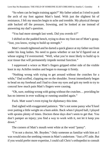"So when can he begin training again?" My father asked as I tried to push the arch of my foot against Matt's hand. With just the slightest bit of resistance, I felt my muscles begin to ache and tremble. My physical therapy aide backed off the pressure, frowning, and he looked at me instead of answering my dad's question.

"You had more strength last week. Did you overdo it?"

I shifted on the padded bench, trying to draw my foot out of Matt's grasp. "Just, you know, trying to build up strength."

Matt's mouth tightened and he darted a quick glance at my father out from under his long lashes. No need to guess whether or not he'd figured out at whose urging I'd overexerted. "Well, what you're most likely to build up is scar tissue that will permanently impede normal function."

I suppressed a wince as Matt's fingers gripped either side of the visible knot in my Achilles tendon and began to massage it firmly.

"Nothing wrong with trying to get around without the crutches for a while," Dad scoffed, clapping me on the shoulder. Sweat immediately began to bead on my forehead and I had to close my eyes and grit my teeth to try to conceal how much pain Matt's fingers were causing.

"Oh, sure, nothing wrong with going without the crutches… providing he has no interest in ever walking or running unaided again."

Fuck. Matt wasn't even trying for diplomacy this time.

Dad sighed with exaggerated patience. "He's not some pansy who'll keel over putting a little weight on a bum ankle. Back when I played ball, I played with sprains plenty of times. Doctors these days don't seem to get that. You don't pamper an injury; you find a way to work with it, not let it keep you down."

The corners of Matt's mouth went white at the word "pansy".

"I'm not a doctor, Mr. Boyden." Only someone as familiar with him as I was would miss the seething venom in Matt's undertone. "Just a PT aide. But if you would prefer more expertise, I could call Chris's orthopedist to consult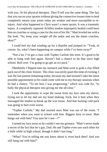with you. Or his physical therapist. They'll tell you the same thing. The fact that you ran on your sprains without giving the connective tissues time to heal completely means your joints today are weaker and more susceptible to reinjury. And what happened to Chris wasn't a mere sprain. It was a traumatic injury. A completely ruptured Achilles tendon improperly healed could have him on crutches or using a cane for the rest of his life." Matt leveled me with a flat look. "So, keep your weight off the ankle and use the damn crutches, okay?"

I could feel my dad winding up for a diatribe and jumped in. "Yeah, of course. So, what's been happening on campus while I've been away?"

"Not a lot. I've got a class with Topher Carlisle this term. It's good to be able to hang with him again. Haven't had a chance to do that since high school. Roll over. I'm going to go get an ice pack."

Obediently I flipped onto my stomach and Matt went to grab a clay-filled pack out of the clinic freezer. The clinic was eerily quiet this time of evening; I was the last patient remaining today, because my dad insisted I take the latest possible appointment so he could come with me to my therapy sessions when he had a chance. "To see how I was progressing," which was code for, "to bully the physical therapist into giving me the all-clear."

I took the opportunity to wipe the sweat from my face onto my sleeve, trying not to let my dad see my hand shaking. Fuck, but it hurt when they massaged the tendon to break up the scar tissue. And that fucking cold pack was going to hurt even worse.

"Topher Carlisle." My dad snorted once Matt was out of the room. "I remember when you went to school with him. Biggest fairy in town. Matt hangs out with him? You sure he's not—?"

I turned my face away so he couldn't see my grimace. "Matt's never made a secret of the fact that he's gay, Dad. He and Topher even saw each other for a little while in high school, though it didn't last long."

"What? You're telling me you knew about it, even back then? And you still hang out with him?"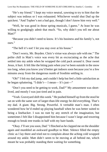"He's my friend." I kept my voice neutral, yawning to try to hint that the subject was tedious or I was exhausted. Whichever would shut Dad up the quickest. "And Topher's not a bad guy, though I don't know him very well."

"Well, he was good in those spring musicals, I guess." At least he was willing to grudgingly admit that much. "So, why didn't you tell me about Matt?"

"Because you didn't need to know. It's his business and his family's, not ours."

"The hell it's not! I let you stay over at his house."

"Don't worry, Mr. Boyden. Chris's virtue was always safe with me." The polite chill in Matt's voice was every bit as excruciating as the ache that settled into my ankle when he wrapped the cold pack around it. Dear sweet Jesus, it hurt. It felt like the biting pain when you've been outside in the snow too long, when you know you'd better get indoors soon because you're a few minutes away from the dangerous numb of frostbite settling in.

"Oh!" I felt my dad jump, and couldn't help but feel a little satisfaction as he began spluttering. "I didn't— I mean— It's just—"

"Don't you need to be getting to work, Dad?" My amusement was shortlived, and mostly I was just tired and in pain.

"Yeah. Graveyard shift this week." He pushed himself up fromthe stool he sat on with the same sort of larger-than-life energy he did everything. That's my dad. A giant. Big. Strong. Powerful. A veritable man's man. I often wondered how he'd ended up playing baseball when he was better suited to being a linebacker. I was no runt by any stretch of the imagination, but sometimes I felt like I disappointed him because I wasn't large and towering enough to break tree trunks in half with my bare hands.

"Okay. I'll see you soon, Dad." I flinched as he clapped me on the shoulder again and mumbled an awkward goodbye to Matt. Silence filled the empty clinic as I lay there and tried not to complain about the aching cold wrapped around my ankle. Matt didn't seem to be moving at all behind me, which meant he was probably standing there waiting for something.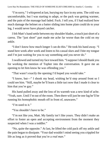"I'm sorry," I whispered at last, burying my face in my arms. The cold was uncomfortable, but I was starting to adapt, or the pack was getting warmer, and the pain of the massage had faded. Fuck. I tell you, if I had realized how much damage the helmet on a batter sliding into home plate could do to your leg, I would never have played catcher.

I felt Matt's hand settle between my shoulder blades, a touch justshort of a caress. The "just short" part made me ache far worse than the cold on my ankle.

"I don't know how much longer I can do this." He took his hand away. "I stand here week after week and listen to his casual slurs and I bite my tongue and I'm just waiting for you to say something and you never do."

Iswallowed and turned my face toward him. "Isuppose Ishould thank you for working the mention of Topher into the conversation. It gave me an opening to let him know he was offending you."

"That wasn't exactly the opening I'd hoped you would take."

"I know, but—" I shook my head, wishing he'd step around front so I could see him. "Still, maybe he'll learn a little tact now that I made it clear to him that you're gay."

His hand pulled away and the loss of its warmth was a new kind of ache. "Yeah, sure. Until I'm out of the room. Then there will just be one fag he'll be running his homophobic mouth off in front of, unawares."

"I'm used to it."

"You shouldn't have to be."

"I'm not like you, Matt. My family isn't like yours. They didn't make an effort to foster an open and accepting environment from the moment they suspected when I was a toddler."

"No, quite the opposite." At last, he lifted the cold pack off my ankle and the pain began to dissipate. "Your dad wouldn't mind seeing you crippled for life as long as it proved that you're a *real man*."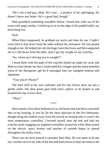"He's not a bad guy, Matt. He's just… a product of his upbringing. He doesn't know any better. He's a good dad, though."

Matt grumbled something inaudible before I heard him stalk out of the room with angry strides. I rolled up to sit on the edge of the padded table, my head hung low.

Fuck.

When Matt reappeared, he grabbed my socks and shoe for me. I hadn't even tried to hop down from the table without his assistance. He was pissed enough at me. He helped me into the huge, boot-like brace and then supported me as I slid down from the table, until I got my weight on my crutches.

"So, where am I driving you to tonight?"

I stood there with the pads of the crutches butted up under my arms and Matt so close beside me that I could smell his cologne and the minty/menthol scent of the therapeutic gel he'd massaged into my mangled tendons and ligaments.

"Your place? Please?"

The hard chill in his eyes softened, and his lips slowly drew up into a gentle smile. His dark green gaze held mine captive as he leaned in and brushed his lips across mine.

"Okay."

\*\*\*\*

Matt rented a first-floor bedroom in an old house that had been converted into co-op housing. It was by far the most spacious of the five bedrooms, though being the farthest away from the forced air heating unit, it wasn't the most temperature controlled. I levered myself onto the bed and laid my crutches aside, hugging my zippered sweatshirt around me while Matt turned on the electric space heaters and patches of warmth began to spread throughout the drafty room.

There was no more natural a caretaker than Matt. He was quiet as he put my crutches next to my side of the bed and knelt down to help me remove the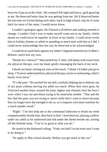brace he'd put on at the clinic. My stomach felt tight and heavy, guilt gnawing at me. He deserved better than he was getting from me. He'd deserved better the last time we'd tried dating each other, back in high school; why he'd come back for more of the same, I would never know.

I couldn't apologize again. He'd heard it all before and nothing seemed to change. I couldn't find a way to make myself come out to my family, which meant we could never be *together* in front of my family. I could never invite him to holiday dinners or admit to spending as much time with him as I did. I could never acknowledge him the way he deserved to be acknowledged.

I could never push back against my father's bigoted insensitivity in Matt's defense, much less my own.

"Ready for a shower?" Matt peeled my T-shirt, still damp with sweat from my physical therapy, over my head, gently massaging the back of my neck.

Ishook my head, closing my eyes at the touch. "I think I'd rather just go to sleep. I'll never understand how physical therapy can be so exhausting, when I barely even move."

"It'sthe pain." He reached for my belt, carefully helping me to shimmy out of my jeans without moving my ankle too much. When they were gone, he Velcroed another brace around the joint, lighter and slimmer than the boot I wore when I was out and about trying to be somewhat mobile. "That and the fact that the parts you *are* trying to move really don't want to move because they no longer have the strength to do so, so it requires a lot more exertion for a much smaller result."

"Right." I let him help me to the communal bathroom to brush my teeth companionably beside him, then back to bed. I stretched out, placing a pillow under my ankle as he undressed and slid under the sheets beside me, turning off the bedside lamp. "You're so good at what you do."

He stared at the darkened ceiling. "Yeah, too bad I'm not even sure I want to be doing it."

"So apply to film school already. Before you get stuck in this rut."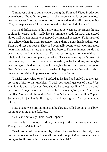"I'm never going to get anywhere doing the Film and Video Production degree here at Grand Valley, except maybe become a producer on some local news broadcast. I need to go to a school recognized for their filmprogram. But if I go someplace else, I lose my scholarship. So I'm kind of stuck."

My hand drifted across the narrow inches between us, my fingers lightly stroking his wrist. I didn't really have an argument ready for that. I understood all too well what it meant to be trapped by financial necessity. I'd just started high school when the Great Recession hit, and my parents had lost their jobs. Then we'd lost our house. They had eventually found work, working more hours and making far less than they had before. Their retirement funds had been gutted, and any hope that I'd had of going to college without a scholarship had been completely wiped out. That was when my dad's dreamof me attending school on a baseball scholarship, as he had done, and maybe even being recruited into the major leagues, had become an absolute necessity. I hadn't lived and breathed a day since the ninth grade when Dad didn't talk to me about the critical importance of seeing to my future.

"I wish I knew what to say." I picked up his hand and pulled it to my face, pressing a kiss to his knuckles. "I wish you could get out of here. West Michigan is a waste for you. You should be someplace like LA, at a school with lots of guys who don't have to hide who they're dating from their families. You should be with—fuck, I don't know—someone like Topher. Someone who just lets it all hang out and doesn't give a fuck what anyone thinks."

Matt's hand went still in mine and he abruptly rolled up onto his elbow, looming over me in the darkness.

"You can't seriously think I want Topher."

"Not really." I shrugged. "Mostly he was just the first example at hand. Though, you *did* date him."

"Yeah, for all of five minutes, by default, because he was the only other out guy at our school and I was all one with the *fuck that* over the idea of going to the Homecoming dance stag or with a girl."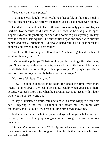"You can't deny he's pretty."

That made Matt laugh. "Well, yeah, he's beautiful, but he's too much. I may be out and proud, but he turns the flames up a little too high even for me."

I smiled wistfully at that. The truth was, I was insanely jealous of Topher Carlisle. Not because he'd dated Matt, but because he was just so *open*. Topher hid absolutely nothing, and he didn't bother to play anything low-key, even if it made others squirm. Our similarities began and ended with our first names and sexual orientation. I'd always hated him a little, just because I admired and envied him so desperately.

"Yeah, well, look at your alternative." My hand tightened on his. "I wouldn't blame you if—"

"It's not to that point yet." Matt caught my chin, planting a firmkiss on my lips. "I can put up with your dad's ignorance for a while longer. Maybe not indefinitely, but I'm not willing to give up on us yet. I'm praying you find a way to come out to your family before we hit that stage."

My throat felt tight. "I am, too."

"Hey." His mouth captured mine again, for longer this time. With more intent. "You're always a wreck after PT. Especially when your dad's there, because you push it too hard when he's around. Let it go. Deal with it later, when you're not so wrung out."

"Okay." I mustered a smile, catching him with a hand wrapped behind his neck, lingering in the kiss. His tongue slid across my lips, minty with toothpaste, and I let out a low groan, pulling him down above me.

Matt chuckled when he felt me press hard against his groin, but he was just as hard, his cock lining up alongside mine through the cotton of our underwear.

"Sure you're not too worn out?" His lips trailed a warm, damp path across my cheekbone to my ear, his tongue stroking inside the rim before his teeth scraped the shell.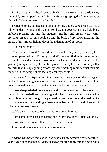Ismiled, tipping my head back to give him roomto work his way down my throat. My arms slipped around him, my fingers grasping the firm muscles of his back. "Never too worn out for this."

I rolled onto my stomach, slipping out of my underwear as Matt stuffed a pillow under my hips, and then his solid weight covered me, a whole-body embrace pressing me into the mattress. His lips and breath were warm, pressing kisses over my shoulders and the back of my neck, nuzzling the crease of my armpit, licking down the indentation of my spine.

"You smell good."

"Well, you feel good." I sighed into the cradle of my arms, lifting my hips to press up against him. The ridge of Matt's cock nestled in the crease of my ass and he rocked as he made love to my back and shoulders with his mouth, grinding me against the pillow until I groaned. Surely there was nothing softer on earth than his lips gliding across my spine, nothing more sensual than his tongue and the scrape of his teeth against my shoulder.

"Fuck me," I whispered, turning to see him over my shoulder. I snagged another kiss, moaning in unison with him the next time he rocked. Puffs of his breath erupted against my cheek and neck as he drew away again.

Those sharp exhalations were a sound I'd come to cherish far more than the crack of a baseball bat connecting with a ball. They were only one note in a veritable symphony, though, the percussion that underscored the tearing of a condom wrapper, the crinkling noise of the rubber unrolling, the slick sound of lube being smeared around…

…My own half-pained whimper as he pressed into me.

Matt's breathless gasp against the back of my shoulder. "Fuck. Oh, *fuck*."

Those were the sounds that were precious to me now.

Like I said: a lot can change in three months.

\*\*\*\*

*"There's one good thing about hiding it from my parents."* My seventeenyear-old self had moaned as Mattsucked on the side of my throat. *"They don't*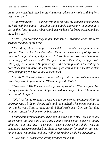*bat an eye when I tell them I'm staying at your place overnight studying for a test tomorrow."*

*"And my parents"—He abruptly flipped me onto my stomach and attacked my back with his mouth—"just don't give a fuck. They know I'm gonna have sex,so they fling me some rubbers and give me lots ofsafe sex lectures and tell me to be smart."*

*"Aren't you worried they might hear us?" I groaned when his teeth scraped the back of my neck.*

*"Nice thing about having a basement bedroom when everyone else is upstairs. If no one has teased me about the noise I make jerking off by now, I think we're safe. Although, if you were to look above the drop panels there on the ceiling, you'd see I've stuffed the space between the ceiling and pipes with lots of egg-crate foam." He pointed up at the heating vent in the ceiling "I even stuck some in there. At least for now. If we wanna bone once it's winter, we're just going to have to take our chances."*

*"Really?" Curiosity jerked me out of my testosterone lust-haze and I turned my head to peer at him. "When did you do that?"*

*"Last week." His lips were soft against my shoulder. Then my jaw. And finally my mouth. "After you said you wanted to move past hand jobs and the occasional blowjob."*

*"Oh." As far as romantic gestures were concerned, soundproofing his bedroom was a little on the iffy side, and yet I melted. This meant enough to him that he was willing to make certain I didn't walk away from our first time with any reason for shame or embarrassment.*

*Irolled onto my back again, drawing him down above me. He feltso safe; I didn't know the last time I felt safe. I don't think I had, since I'd finally admitted to myself that I was gay. I wasn't sure what I'd do when he graduated nextspring and left me alone at Jenison High for another year, with no one here who understood me. Hell, even Topher would be graduating.*

*"I love you," I whispered, lifting my head for a kiss.*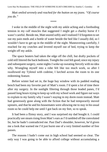*Matt smiled serenely and reached for the button on my jeans. "Of course you do."*

#### \*\*\*\*

I woke in the middle of the night with my ankle aching and a foreboding tension in my calf muscles that suggested I might get a charley horse if I wasn't careful. Beside me, Matt snored softly and I realized I'd forgotten to set out my pain meds and a bottle of water beside the bed like I usually did, so I wouldn't have to get up in the middle of the night. Maneuvering carefully, I reached for my crutches and levered myself out of bed, trying to keep the weight off my ankle.

The space heaters had taken the edge off the chill, but drafty pockets of cold still littered the back bedroom. Tonight the cool felt good; since my injury and subsequent surgery, some nights I woke up sweating fiercely with no idea why. Wrangling myself into a robe felt like too much work, so after I swallowed my Tylenol with codeine, I lurched across the room to its one redeeming feature.

Before winter had set in, the huge bay window with its padded reading bench had been my favorite part of Matt's room. I'd spent a lot of time there after my surgery. In the sunlight filtering through those leaded panes, I'd passed long hours trying to keep up with my school work and figure out ways to explain to my family why I wasn't staying in my dorm room instead. Matt had generously gone along with the fiction that he had temporarily moved upstairs, and that he and his housemates were allowing me to stay in his usual room so he could help me until I got back on my feet, so to speak.

It had been a flimsy story, and I was surprised my dad bought it. I could practically see steam rising from Matt's ears as I'd rambled off the convoluted lie, but he hadn't contradicted me. Past Dad's shoulder, however, he'd given me a look that warned me I'd just burnt one of a very limited number of free passes.

The reasons I hadn't come out in high school had seemed so clear. The only way I was going to be able to afford college without accumulating a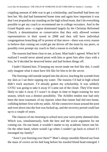crippling amount of debt was to get a scholarship, and baseball had been my best bet. My dad had hammered home time and again how important it was that I not jeopardize my standing on the high school team, that I do everything possible to get my coach to recommend me to college recruiters. And in the Grand Rapids area—a region dominated largely by the Christian Reformed Church, a denomination so conservative that they only allowed women representatives in their synod in 2008 and they still have individual congregations branching off in protest of that move—there was every reason to believe that coming out could get me driven off the team by my peers, or possibly even prompt my coach to find a reason to exclude me.

The reasons had been clear to me, at least. Matt hadn't agreed. When he'd realized I would never attend prom with him or greet him after class with a kiss, he'd decided he deserved better and had broken things off.

I hadn't blamed him. If keeping my secret made me feel like shit, I could only imagine what it must have felt like for him to *be* the secret.

The freezing cold outside seeped into the alcove, leaching the warmth from my skin as I sat there sipping my water. The reasons I'd had in high school didn't track anymore. I'd already gotten my scholarship. It was unlikely GVSU was going to take it away if I came out of the closet. They'd be more likely to take it away if I wasn't in shape in time to begin training for next season, which was a distinct possibility. The Achilles tendon tear had only been the most traumatic of my injuries when that runner had slid into home, colliding helmet-first with my ankle. All the connective tissue around the joint and even down into the foot was fucked up, and the recovery period could last up to a couple of years.

The chances of me returning to school next year were pretty damned slim. Which was, simultaneously, both the best and the worst argument for me coming out. On one hand, it wouldn't matter to my academic future one bit. On the other hand, where would I go when I couldn't go back to school if I estranged my family?

"Aren't you freezing over there?" Matt's sleepy mumble filtered out from the mass of covers on his bed long before his tousled blond head emerged. I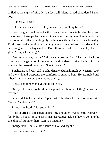smiled at the sight of him. My perfect, tall, blond, broad-shouldered Dutch boy.

"Honestly? Yeah."

"Then come back to bed. Do you need help walking back?"

"No." Isighed, looking out at the snow-covered lawn in front of the house. It was one of those perfect winter nights when the sky was cloudless, so that the moonlight reflected so brightly on the snow, it could almost have been day. Tendrils of frost were slowly creeping their way inward from the edges of the panes of glass in the bay window. Everything seemed cast in an cold, ethereal glow. "I'm just thinking."

"Warm thoughts, I hope." With an exaggerated "brrr" he flung back the covers and dragged a comforter around hisshoulders. It trailed behind himlike a cape as he crossed the room. "Scoot forward."

I inched up and Matt slid in behind me, wedging himself between my back and the wall and wrapping the comforter around us both. He grumbled and rubbed my arm nearest the window briskly.

"Jesus, any longer and you'd be an icicle."

"Sorry." I leaned my head back against his shoulder, letting his warmth thaw me.

"Oh, did I tell you what Topher said his plans for next summer with Morgan Gardner are?"

I shook my head. "No, you didn't."

Matt chuffed a soft laugh against my shoulder. "Apparently Morgan's family has a house on Lake Michigan near Saugatuck, so they're going to be spending all summer there. Can you imagine?"

"Saugatuck? That's a little south of Holland, right?"

"You've never heard of it?"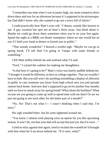"I remember one time when I wasin junior high, my mom wanted to drive down there and tour for an afternoon because it's supposed to be picturesque, but Dad didn't know why she wanted to go see a town full of fairies."

I could practically hear Matt's eyes roll. "I dunno, sounds like heaven to me. A gay vacation hot spot not an hour's drive away. Just think about it. Maybe we could go down there sometime when you're on your feet again. Spend the night at a B&B, eat dinner someplace where no one would bat an eye if I held your hand at dinner or kissed you in public."

"That sounds wonderful." I heaved a wistful sigh. "Maybe we can go at spring break. I'll tell Dad I'm going to Tampa with some friends or something."

I felt Matt stiffen behind me and realized what I'd said.

"Fuck." I cursed the codeine for making me thoughtless.

"Is that how it's going to be?" Matt's voice was barely audible behind me. "I thought it would be different, us here at college together. That we wouldn't have to hide. But you still won't do anything resembling a display of affection in public in case someone you know from high school sees you and spreads rumors back home. And now that's supposed to go on for another four months until we have to sneak away forspring break? What about the holidays? What excuse are you going to come up with to spend time with me then? Or are we just not going to see each other for the better part of a month?"

"No. No! That's not what I— I wasn't thinking when I said that. I'm sorry."

His sigh sounded bitter, but his arms tightened around me.

"You know, I almost wish playing were an option for you this upcoming season. It won't be, not that your dad will accept that just yet, but if it were…"

I tried to relax against him again, tried to reclaim the warmth he'd brought with him when he'd sat down behind me. "If it were, what?"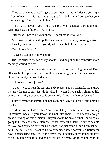"I've daydreamed of walking up to you after a game and kissing you, right in front of everyone. Just tearing through all the bullshit and doing what your teammates' girlfriends do with them."

"Then why haven't you? You had plenty of chances during the fall scrimmage season before I was injured."

"Because it has to be your choice. I can't make it for you."

My throat felt tight and I pulled his hand up to my face, pressing a kiss to it. "I wish you would. I wish you'd just… take that plunge for me."

"You know I can't."

"Doesn't stop me from wishing."

His lips brushed the top of my shoulder and he pulled the comforter more securely around us both.

"I love you, Chris. I have since before my senior year of high school. Even after we broke up, even when I tried to date other guys or just fuck around in clubs, I missed you. Wanted you."

"I love you, too. I just—"

"I don't need to hear the reasons and excuses. I know themall. And I know it's easy for me to say 'just do it, already' when I live such a charmed life where my family's acceptance is concerned. I know it's harder for you."

I turned my head to try to look back at him. "Why do I hear a 'but' coming in this?"

"I don't know if it's a 'but.' Not completely. I hate the idea of issuing ultimatums, because you know, it's not like there's not already enough pressure riding on this decision. But you should be on alert that I'm probably going to hit the end of my tolerance sooner, rather than later. I want to be able to have my *boyfriend* over for Christmas, not just some friend from school. And I definitely don't want to try to remember some convoluted fiction for how I spent spring break so I don't reveal that I actually spent it making love to you in some romantic bed and breakfast in a vacation town known to be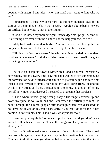popular with queers. I can't deny who I am, and I don't want to deny who *we* are."

"I understand." Jesus. My chest hurt like I'd been punched dead in the sternum at the implied *or else* in that speech. It wouldn't be so bad if he were unjustified, but he wasn't. Not in the slightest.

"Good." He kissed my shoulder again, then nudged me upright. "Come on. It's freezing here even with the blanket. Let me help you back to bed."

Safely back in the warmth of his bed, Matt surrounded me. He engulfed me not just with his arms, but with his entire body, his entire presence.

"I'll give it a few more weeks," he whispered into the darkness as sleep continued to elude me. "Until the holidays. After that… we'll see if I've got it in me to give any more."

\*\*\*\*

The days spun rapidly toward winter break and I hovered indecisively between my options. Every time I saw my dad I wanted to say something, but the conversation never drifted toward any sort of gracefulsegue, and each time I tried to steel myself to simply blurt it out my vocal cords froze, locking the words in my throat until they threatened to choke me. No amount of telling myself how much Matt deserved it seemed to overcome that paralysis.

"That's where you're going wrong, baby." His fingers stroked up and down my spine as we lay in bed and I confessed the difficulty to him. He hadn't brought the subject up again after that night when we'd discussed the holidays, but it was on my mind constantly. "You can't do it for me. It has nothing to do with me. This is about *you*, what *you* deserve."

"How can you say that? You made it pretty clear that if you don't stick around, it'll be because you can't have the things you feel you need. So it *is* about you."

"You can't do it to make me stick around. Yeah, I might take off because I need something else, something I can't get in this situation, but that's on me. You need to do it because *you* deserve better. You deserve better than to sit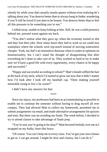silently by while your dad casually insults queers without even realizing he's talking about *you*. You deserve better than to always hang in limbo, wondering if you'll still be loved if you dare to be honest. You deserve better than to feel all this pressure to be something you're not."

I rolled away, unable to keep looking at him. Still, he was a solid presence behind me, pressed warm against my back.

"You don't realize what they gave up, when the economy turned to shit and they lost their jobs. How many hours they had to work so we could stay someplace where the schools were top-notch instead of moving somewhere cheaper. Yeah, my dad's an insensitive dinosaur when it comesto opinions on homosexuality, but I can't stand the thought of disappointing him after everything he's done to take care of us. They worked so hard to try to make sure we'd have a good life with every opportunity, every chance to be happy and successful."

"Happy and successful according to whom?" Matt's breath ruffled the hair at the back of my neck, which I'd started to grow out now that it didn't matter how I'd look after I took off my baseball cap. "Does making yourself miserable trying to live a lie count?"

I didn't have any answers for that.

\*\*\*\*

Since my injury, my professors had been as accommodating as possible to enable me to continue the semester without having to drag myself all over campus. They had allowed Matt to collect my homework, permitted me to submit assignments via email, and made alternative arrangements for quizzes and tests. But there was no avoiding my finals. The week before, I decided to try to attend classes to take advantage of finals prep.

"You're sure you're going to be okay?" Matt hovered fretfully over me as I strapped on my bulky, boot-like brace.

"Of course. You can't help me to every class. You've got your own classes to get to. I can get around. I might be slow and clumsy, but I can do it."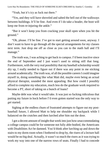"Yeah, but it's icy as fuck out there."

"Yes, and they will have shoveled and salted the hell out of the walkways between buildings. It'll be fine. And even if I do take a header, the boot will keep me from re-injuring the ankle."

"But it won't keep you from cracking your skull open when you hit the ground."

"Oh, please. I'll be fine. I've got to start getting around soon, anyway. I don't want to have to go through all the special arrangements for my classes next term. Just drop me off as close as you can to the math hall and I'll manage."

The truth was, I was aching to get back to campus. I'd been inactive since the end of September and I just wasn't used to sitting still that long. Furthermore, with the very real possibility that my baseball scholarship would dry up, I really needed to figure out if there was any point in me sticking around academically. The truth was, of all the possible careers I could imagine myself in, doing something like what Matt did, maybe even being an actual physical therapist, sounded the most appealing. But how could I possibly afford to complete my education, much less do the graduate work required to become a PT, short of taking on a bunch of loans?

Maybe debt was what it would take. It was just so fucking ridiculous that putting my future in hock before I'd even gotten started was the only way to *get* started.

Sighing at the endless churn of frustrated attempts to figure out my postbaseball future, I allowed Matt to help me shoulder my backpack while I balanced on the crutches and then lurched after him out the door.

I got a decent amount of insight that week into just how *un*accommodating a college campus could be for someone not fully able-bodied, the Americans with Disabilities Act be damned. You'd think after lurching up and down the stairs to my dorm room when I bothered to drop by, the risers of a lecture hall would be no big deal. Actually, it wasn't so much the risers as it was trying to work my way into one of the narrow rows of seats. Finally I had to concede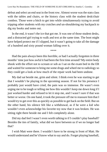defeat and select an end seat in the front row. Almost worse was the stats class with the tables and chairs, or the history class with the student desk/chair combos. Those were a bitch to get into while simultaneously trying to avoid tripping other students with my crutches *and* un-shouldering my backpack to dig my books and notes out.

In the end, it wasn't the ice that got me. It was one of those student desks, and a distracted girl trying to walk and text at the same time. The boot might have helped protect me if I slipped, but it wasn't going to take all the damage of a hundred and sixty pound woman falling over it.

\*\*\*\*

Had the pain always been this horrible, or had I actually forgotten in three months' time just how awful it had been the first time around? My entire body shook with the effort not to scream or sob as I sat on the exam bed in the ER and waited for someone to bring me some drugs and wheel me to radiology so they could get a look at how much of the repair work had been undone.

My dad sat beside me, grim and silent. I think even he was starting to get that I wouldn't be playing in the upcoming season. If not for his presence I probably just would have cried, the pain was so immense. He wasn't even urging me to be tough or telling me how this wouldn't keep me down long if I just worked harder and refused to let it stop me, and I wasn't sure if that was better or worse. On one hand, it took the pressure off me to reassure him that I would try to get over this as quickly as possible to get back on the field. But on the other hand, his silence felt like a withdrawal, as if he were a kid who wouldn't even acknowledge his favorite toy now that it was broken. He was sitting right there beside me and I felt completely alone.

Did my dad feel I wasn't even worth talking to if I couldn't play baseball? Besides the ties of family, what did we have between us if we no longer had that?

I wish Matt were there. I wouldn't have to be strong in front of Matt. He would understand and he'd know what to say and do. Forget playing baseball,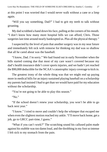at this point I was worried that I would never walk without a cane or a limp again.

"Will you say something, Dad?" I had to grit my teeth to talk without groaning.

My dad scrubbed a hand down his face, pulling at the corners of his mouth. "I don't know how many more hospital bills we can afford, Chris. Those surgeries last time around nearly bankrupted us. Plus all the physical therapy."

I suspected by the level of pain that another surgery was in my near future and immediately felt sick with remorse for thinking my dad was so shallow that all he cared about was the baseball.

"I know, Dad. I'm sorry." We had found out in early November when the bills started coming due that most of my care wasn't covered because my dad's health insurance didn't cover sports injuries, and we hadn't yet reached the \$90,000 deductible for the NCAA's catastrophic injury coverage to kick in.

The greatest irony of the whole thing was that we might end up paying more in medical bills for an injury sustained playing baseball on a scholarship my parents had insisted I *had* to get than we would have paid for my education without the scholarship.

"You're not going to be able to play this season."

"No."

"If the school doesn't renew your scholarship, you won't be able to go back next year."

"I know." I tried to move and couldn't help the whimper that escaped me when even the slightest motion reached my ankle. "I'll move back home, get a job, go to GRCC part-time, I guess."

"What if you can't work?" The scratching sound his callused palm made against hisstubble wastoo damn loud, and the throbbing in my footso intense I felt sick to my stomach from the pain.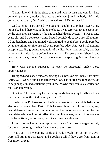"I don't know!" I hit the sides of the bed with my fists and couldn't help but whimper again, louder this time, as the impact jolted my body. "What do you want me to say, Dad? We're screwed, okay? I'm screwed."

God damn it. Tears burned my eyes and I couldn't stop them. Everything hurt so bad and there was nothing. No hope. I was screwed. By the economy, by the educational system, by the national health care system… I was twenty years old, and I'd done everything I could possibly do to give myself a future. I'd studied hard, and I'd trained well and tried to be the best I could possibly be at everything to give myself every possible edge. And yet I had nothing except a steadily-growing mountain of medical bills, and probably another mountain of student loans before it was all over. The years when I should have been putting away money for retirement would be spent digging myself out of debt.

How was anyone supposed to ever be successful under those circumstances?

He sighed and leaned forward, bracing his elbows on his knees. "It's okay, Chris. We'll work it out. I'll talk to Pastor Rob. The church has funds set aside to help people in bad situations, you know. Maybe they can take a collection for us or something."

"Oh, God." I covered my face with my hands, leaning my head back. Fuck it all, where were the God damn pain meds?

The last time I'd been to church with my parents had been right before the elections in November. Pastor Rob had—without outright endorsing any candidate—spoken to the congregation on the importance of voting for the candidates who would most reflect the church's values, which of course was code for anti-gay, anti-choice, pro-big-business candidates.

I could just see it now, us accepting assistance from the congregation, only for them to begrudge it when I came out of the closet.

"No. Don't." I lowered my hands and made myself look at him. My eyes were still stinging with tears, and I couldn't tell if they were from pain or frustration or fear.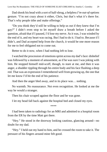Dad shook his head with a sort of half-shrug, a helpless*I'm-out-of-options* gesture. "I'm not crazy about it either, Chris, but that's what it's there for. That's why people tithe and make offerings."

"Do you think they'd still be willing to help us out if they knew that I'm gay?" I didn't even stop to let myself draw a breath before I asked the question, afraid that if I paused, I'd lose my nerve. As it was, I was winded by the end of it, and my heart was racing. But I had to do it. I had to. Because if I didn't, and Dad accepted help from the church, it would be one more reason for me to feel obligated not to come out.

Better to do it now, when I had nothing left to lose.

I watched the procession of emotions sprint across my dad's face: disbelief was followed by a moment of amusement, as if he was sure I was joking with him. He stopped himself mid-scoff, though, to stare at me, and then it was anger, a shudder rippling through his entire body and his face flushing a deep red. That was an expression I remembered well from growing up, the one that let me know I'd hit the end of his patience.

And then the anger bled away, and in its place was… nothing.

No warmth. No reassurance. Not even recognition. He looked at me the way he would a stranger.

Then his chair scraped against the floor and he was gone.

I let my head fall back against the hospital bed and closed my eyes.

\*\*\*\*

I had been taken to radiology for an MRI and admitted to a hospital room from the ER by the time Matt got there.

"Hey." He stood in the doorway looking cautious, glancing around—no doubt for my dad.

"Hey." I held out my hand to him, and he crossed the room to take it. The pressure of his fingers around mine felt good.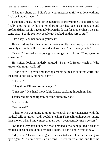"I had my phone off. I didn't get your message until I was done with my final, or I would have—"

Ishook my head, the motion exaggerated courtesy of the Dilaudid they had finally shot me up with. The relief from pain had been so immediate and profound that I would have gladly blown the doctor for anothershot if the pain came back. I could see how people got hooked on that sort of stuff.

"It's okay. You had to take your test."

He cupped my face, his thumb caressing gently under my eye, which was probably no doubt still red-rimmed and swollen. "Pain's really bad?"

"It was." I heaved a groggy sigh and tugged him closer. "They gave me something."

He smiled, looking tenderly amused. "I can tell. Better watch it. Who knows who might walk in?"

"I don't care." I pressed my face against his palm. His skin was warm, and the hospital too cold. "It hurts, baby."

"I know"

"They think I'll need surgery again."

"I'm sorry." His hand moved, his fingers stroking through my hair.

I squeezed his hand tighter. "I came out to my dad."

Matt went still.

"You what?"

"I had to. He was going to go to our church, ask for assistance with the medical bills or tuition. And I couldn't let him. I'd feel like a hypocrite, taking their money when I know most of them don't even consider me a person."

"So that's why he's not here." Matt grabbed a chair and pulled it close to my bedside so he could hold my hand again. "I don't know what to say."

"Me, either." I leaned back against the elevated head of the bed, closing my eyes again. "He never even said a word. He just stared at me, and then he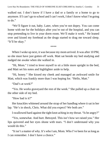walked out. I don't know if I have a dad or a family or a home to go to anymore. If I can't go to school and I can't work, I don't know what I'mgoing to do."

"We'll figure it out, baby. Later, when you're not dopey. You can come home with me for the holidays after you're out of the hospital, and you can stop pretending to live in your dorm room. We'll make it work." He leaned over and kissed my forehead as the drugs started to drag me toward sleep. "It'll be okay."

\*\*\*\*

When I woke up next, it was because my mom arrived. It was after 10 PM, so she must have just gotten off work. Matt sat beside my bed studying and nudged me awake when she walked in.

"Hi, Mom." I tried to lever myself to sit a little more upright in the bed, and Matt set his notes and highlighter aside to help.

"Hi, honey." She kissed my cheek and managed an awkward smile for Matt, which was frankly more than I was hoping for. "Hello, Matt."

"Dad's at work?"

"Yes. He works graveyard the rest of the week." She pulled up a chair on the other side of my bed.

"How bad is it?"

Her knuckles whitened around the strap of her handbag where it sat in her lap. "He's in shock, Chris. What did you expect? We both are."

Iswallowed hard against the tight knot aching in my throat. "Is he angry?"

"Yes, somewhat. And hurt. Betrayed. This isn't how we raised you." Her lips quivered and her eyes shone with tears. "I don't understand why you would do this."

"It isn't a matter of why. It's who I am, Mom. Who I've been for aslong as I can remember. I don't have a choice."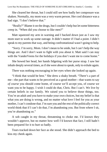She cleared her throat, but I could still see how badly her composure was shaken. Normally, my mom was a very warm person. Her cool distance was a bad sign. "I don't believe that."

"Really?" Blame it on the drugs, but I couldn't help but let some bitterness creep in. "When did you choose to like men?"

Matt squeezed my arm in warning and I backed down just as I saw my mom start to work up some outrage. It didn't matter if I had a point. I didn't speak to my parents that way, and being confrontational wasn't going to help.

"Sorry. I'm sorry, Mom. I don't mean to be snide, but I can't help the way things are. And I don't want to fight with you about it. Matt said I can stay with the VanderVeens for the holidays if you don't want me to come home."

She bowed her head, her hands fidgeting with her purse strap. I saw her inhale deeply several times, as if she were about to speak, only to exhale again.

There was nothing encouraging in her eyes when she looked up again.

"I think that would be best." She drew a shaky breath. "There's a part of me—the part that wants to be perceived as a good mother—that wants to say *of course* you should come home, of course we'll accept you, of course we want you to be happy. I wish I could do that, Chris. But I can't. We live by certain beliefs in our family. We raised you to believe those things, too. You're an adult and you have to make your own choices, but my belief is that what you are doing is wrong, and no matter what love I feel for you as your mother, I can't condone that. I'm sure you and the rest of the politically correct world think that if I can't do that, I'm abandoning you. But from where I sit, you're abandoning us."

A sob caught in my throat, threatening to choke me. I'd known they wouldn't approve, but no matter how well I'd known that fact, I still hadn't been prepared for it to hurt so badly.

Tears tracked down her face as she stood. She didn't approach the bed to kiss my cheek again.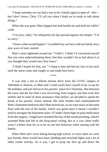"I hope someday we can find a way to be a family again in spite of—*this* but I don't know, Chris. I'll call you when I think we're ready to talk about things."

When she was gone, Matt slipped into bed beside me and held me while I cried.

"I'm sorry, baby," he whispered, his lips pressed against my temple. "I'm so sorry."

"I knew what would happen." Iscrubbed my wet face with my hands, but a new wave of tears started.

Matt's arms tightened around me. "I didn't. I think I'd convinced myself that you were underestimating them, that they wouldn't be as bad about it as you thought they would once they knew."

"I think I hoped for that, too." I clung to him and hid my face in his neck until the nurse came and caught us and made him leave.

\*\*\*\*

It was only a ten to fifteen minute drive from the GVSU campus in Allendale to Jenison, so Matt and I could easily have stayed in his co-op for the holidays and just driven to his parents' place for Christmas. But between the snow and the fact that I was recovering from surgery and thus even less mobile and in need of more assistance than before, we decided to spend the break at his parents' house instead. His little brother had commandeered Matt's basement bedroom after Matt moved out, so we were stuck on the main floor with the rest of the family, which was good since it meant I wouldn't need to navigate the basement stairs. If I hadn't been high on pain medication from the surgery, I might have resented the loss of the sound-proofing, which I assumed Matt had left in the drop-panel ceiling, but as it was, there really wasn't a better time for us to be on our best behavior while staying with his family.

When Matt and I were dating during high school, or even when we were just friends, there would have been sledding and snowball fights and a lot of other winter activity. As it was, I got to prop my foot up and direct the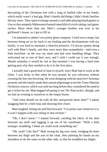decorating of the Christmas tree with a mug of mulled cider in my hands, which really wasn't a bad gig. Matt's family did things I didn't think families did any more. They spent evenings around a card table playing board games or Uno or that uniquely Midwestern bastard stepchild of a trick-taking card game, euchre. More often than not, Matt's younger brother was over at his girlfriend's house, so I got to fill in.

I'm ashamed to admit I was pretty glum company. I tried not to mope, but between being set so far back in my healing and the developments with my family, it was hard to maintain a cheerful presence. I'd always gotten along well with Matt's family, and they were more than sympathetic—and even a little horrified—at the way my mom and dad were handling things. They welcomed me as one of their own, and I wish I could say it was enough. Maybe someday it would be, but at that moment I was having a hard time getting past why they needed to do it in the first place.

I actually had a good deal of time to myself, since Matt had to work at the clinic. I was lucky in that when he was around, he was solicitous without crossing the line into hovering. He wentshopping with his mom for Christmas presents and the family made their annual pilgrimage to see the Trans-Siberian Orchestra concert, which wassold out long before they considered the need to get a ticket for me. Matt begged off going to see *The Nutcracker*, though, and we had an evening to ourselves in the empty house.

"And what should we do with all this unexpected alone time?" I asked, snagging him by a belt loop and drawing him closer.

Matt laughed, letting me pull him forward. "I'm pretty sure whatever it is, it won't happen with you sitting in that recliner."

"Oh, I don't know." I leaned forward, catching the fabric of his shirt between my teeth and tugging it up out of his waistband. "With a little strategic straddling, I think we could work something out."

"Oh, yeah? Like this?" Matt swung his leg over mine, wedging his knee between my thigh and the arm of the chair, then planting his hands on my shoulders to do the same on the other side, so that he straddled my thighs.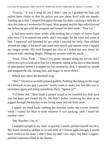"Exactly." It was a snug fit, but I didn't care as I grabbed his hips and pulled them closer so that his pelvis was just about level with my mouth. Smiling up at him, I nipped him again through his shirt, catching a little bit of skin this time as I worked his fly open. Matt gasped, and his hips rolled toward me before he got with the program and tossed his shirt aside. "That's it."

It had been nearly three weeks with nothing but a couple of furtive hand jobs since I'd re-injured my ankle, and I was eager for the taste and scent of him. I squeezed and kneaded his ass while I nuzzled his belly, then nibbled around the edge of his navel and made him twitch and squirm when I dipped my tongue inside. His cock bumped my chin as I licked my way down his treasure trail, inhaling deeply, filling my nostrils with his musk.

"Fuck, Chris. Yeah…" Matt's low groan vibrated along my nerves, and I rolled my eyes to look up at him for a moment, taking in his face in that instant of anticipation before I wrapped my lips around his dick. I opened my mouth and tongued the slit, tasting him, and began to move down.

Which was when the doorbell rang.

"*Shit,*" I hissed as we both jumped guiltily. Nothing like being on the verge of a blowjob in one guy's parents' family room to make you feel like you're seventeen again and doing something illicit. "Ignore it?"

"I'd better not." Matt made a pained sound as he wrestled his dick back into his jeans and closed his fly. He didn't bother retrieving his shirt as he jogged through the kitchen to the living room and the front door.

I tipped my head back, rubbing the erection under my sweats absently while I waited for Matt to send whoever it was packing, until I heard his startled voice.

"Mr. Boyden! Um, hi."

I snapped upright in my chair so quickly I nearly pitched myself out of it. My boner started to deflate in record time. If I'd been agile enough, I would have rushed to the door. I didn't hear my dad's low reply, but Matt's higherpitched responses filled in the blanks.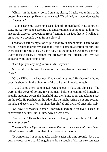"Chris is in the family room. Come in, please, I'll take you to him so he doesn't have to get up. He was gonna watch TV while I, um, went downstairs to lift weights."

That one gave me pause for a second, until I remembered Matt's shirtless state. He was trying to spare my dad embarrassment; coming out to him was an entirely different proposition from flaunting in his face that he'd walked in on us not two seconds away from a blowjob.

I had to resist the temptation to get out of my chair and stand. There was no reason I needed to greet my dad on my feet or come to attention for him, and every reason for me to stay *off* my feet, but the impulse was there anyway. Every muscle tense, I watched the archway to the kitchen until my dad appeared with Matt behind him.

"Can I get you anything to drink, Mr. Boyden?"

My dad shook his head, his eyes on me. "No, thanks. I just need to talk to Chris<sup>"</sup>

"Okay. I'll be in the basement if you need anything." He chucked a thumb over his shoulder in the direction of the stairs and I nodded mutely.

My dad stood there looking awkward and out of place and almost as if he were on the verge of bolting for a moment, before he committed himself to actually stepping across the threshold into the family room and taking a seat on the sofa. He perched on the edge like he might spring up at any second, though, and every so often his shoulders shifted and twitched uncomfortably.

"So, how's everyone at home?" I forced a bland smile, resolved to keep the conversation neutral until I knew why he was here.

"We're fine." He rubbed his forehead as though it pained him. "How did your surgery go?"

*You would know if you'd been there in Recovery like you should have been*. I didn't allow myself to put that bitter thought into words.

"It went okay. I'm going to take it a lot easier this time around. Not try to push my recovery so hard. I'm going to drop a couple of classes next semester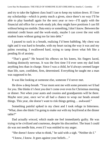and try to take the lightest class load I can to keep my tuition down. If I lose my scholarship—which is pretty much a given, since there's no way I'll be able to play baseball again for the next year or two—I'll apply with the financial aid office for a work-study job; they might have positions I can fill without being too mobile. Data entry or something, I don't know. Between the minimal credit hours and the work-study, maybe I can cover the rest with student loans without going too far into debt."

I paused to suck in a breath, realizing I'd been babbling. My chest was tight and it was hard to breathe, with my heart racing the way it was and my palms sweating. I swallowed hard, trying to tamp down what felt like a pending fit of anxiety.

"That's good." He braced his elbows on his knees, his fingers laced, looking distinctly nervous. It was the first time I'd ever seen my dad look anything less than in charge. Since I was a child, he'd always seemed larger than life, sure, confident, firm, determined. Everything he taught me a man was supposed to be.

It was like looking at someone else, someone I'd never met.

He drew a deep breath. "Your mom sent me with some presents we'd had for you. She thinks it's best you don't come over even for Christmas morning or dinner. Not when your aunts and cousins and grandparents will be there. Maybe next year, once we've all had a chance to wrap our heads around things. This year, she doesn't want to risk things getting… awkward."

Something painful spiked in my chest and I took refuge in bitterness. "What, does she think I'm going to make out with my boyfriend at the dinner table?"

Dad actually *winced*, which made me feel immediately guilty. He was trying to be civilized and courteous, despite his discomfort. The least I could do was not needle him, even if I was entitled to my anger.

"She doesn't know what to think," he said with a sigh. "Neither do I."

"I know, I know. It goes against your beliefs…"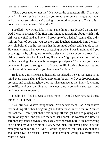"That's your mother, not me." He waved the suggestion off. "That's not what I— I mean, suddenly one day you're not the son we thought we knew, and that's not something we're going to get used to overnight. Chris, this how long have you been hiding this?"

I scoffed. "My whole life. It's not something I just decided on one day. Dad, I was in *preschool* the first time Grandpa teased me about which little girl was my girlfriend and how I'd grow up to be a ladies' man, and he did it right in front of you and you sat there and laughed alongside him. I wasn't very old before I got the message that the assumed default didn't apply to me. How many times when we were practicing or when I was in training did you encourage me by telling me not to be a sissy or a pansy or don't throw like a girl or shake it off when I was hurt, like a *man*." I gripped the armrests of the recliner, wishing I had the mobility to get up and pace. "By which you meant be a *man* like you, a straight man. I spent my life hearing about pussies and that I shouldn't be one. Can you *blame* me for hiding?"

He looked guilt-stricken at that, and I wondered if he was replaying in his mind every casual slur and derogatory term for gay he'd ever dropped in my presence and considering how they must have impacted me. Every day for my entire life, he'd been deriding me—*me*, not some hypothetical stranger—and he'd never even known it.

Finally, he lifted his eyes to meet mine. "I would never have said those things if I'd known—"

"You still would have thought them. You believe them, Dad. You believe that anything other than being straight and ultra-masculine is a failure. You see the fact that I can't just shake this injury off and get back to playing as a failure on my part, and you see the fact that I don't like women as a flaw." I scrubbed my hands down my face as my eyes began to burn. "I'm never going to be a *man* by your definition, Dad. A *real* man. I'm never going to be the man you want me to be. And I would apologize for that, except that I shouldn't have to because I haven't done anything wrong. No matter what Mom believes."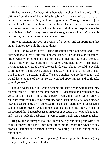He had no answer for that, sitting there with his shoulders hunched, still so different from the man I knew. Watching him, I really wanted that man back, because despite everything, he'd been a good man. Through the loss of jobs and the foreclosure on our house, settling for far less skilled work that kept us in a modest rental but barely allowed him enough time to sleep, let alone be with his family, he'd always been proud, strong, encouraging. He'd done his best for us, or tried to, even when he was in error.

He was ignorant, not evil. A product of a society and an upbringing that taught him to revere all the wrong things.

"I don't know what to say, Chris." He studied the floor again and I was okay with that. I was a little afraid of what I'd see if he looked at me just then. "Back when your mom and I lost our jobs and then the house and it took so long to find work again and then we were barely getting by…" His hands twisted together, clasped there between his knees. "I knew I wouldn't be able to provide for you the way I wanted to. The way I should have been able to do. I had to make you strong. Self-sufficient. Toughen you up the way my dad would have toughened me up, so that you had opportunities and could take care of yourself."

I gave a weary chuckle. "And of course all that's tied in with masculinity for you, isn't it? Gotta be the breadwinner." I deepened and roughened my voice on that last bit, imitating a burly, manly-man tone, which drew a reluctant smile from my dad. "My injury notwithstanding, Dad, I was doing an okay job securing my own future. So if it's any consolation, you succeeded. I can take care of myself. And I'll keep doing so despite the injury, which for the record didn't happen because I'm queer or because I'm not tough enough, and it won't suddenly get better if I were to turn straight and be more macho."

He gave me an outraged look and I met it evenly, reminding him with a lift of my eyebrow of all the times he'd urged me to ignore the advice of my physical therapist and doctors in favor of toughing it out and getting on my feet sooner.

He cleared his throat. "Well. Speaking of your injury, the church is going to help us with your medical bills."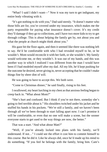"What? I said I didn't want—" Now it was my turn to get indignant, my entire body vibrating with it.

"It's got nothing to do with you," Dad said sternly. "It doesn't matter who those bills are for, you're covered under my insurance, which makes me the party responsible for paying what insurance doesn't cover. It's my credit they'll damage if they go to collections, and I have two more kids to try to get through college. This is about helping the family get by, not about you and what the people at church might think about you."

His gaze hit the floor again, and then it seemed like there was nothing left to say. He'd be comfortable with who I had revealed myself to be, or he wouldn't. Mom would reconcile it with her faith, or she wouldn't. My family would welcome me, or they wouldn't. It was out of my hands, and this was another way in which I realized I was different from the man I would have been if I had modeled myself after my dad. All my life, he'd kept pushing for the outcome he desired, never giving in, never accepting that he couldn't make things fine by sheer dint of will.

He was going to have to accept this. We both were.

"Come to Christmas dinner," he said finally, rising to his feet.

Iswallowed, my heart lurching in my chest asthat anxiousfeeling began to creep back in. "What about Mom?"

"She's hurt and confused. But I think if you're not there, someday she's going to feel terrible about it." His shoulders twitched under his jacket and he stuffed his hands in his pockets. "We're still a family, and we haven't been through all we've been through to start falling apart now. I can't promise it will be comfortable, or even that no one will make a scene, but the sooner everyone starts to get used to the way things are now, the better."

That was a start. "And what about Matt?"

"Well, if you're already locked into plans with his family, we'll understand. If not…" I could see the effort it cost him to commit himself to this course. But he did it. Like he always did, once he'd made up his mind to do something. "If you feel he belongs with the family, bring him. Cam's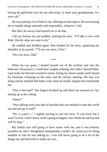having his girlfriend over for pie afterward, to meet your grandparents. It's your call."

He was putting a lot of faith in me, offering me that option. He was trusting me to handle things maturely and responsibly, whatever I did.

But then, he always had trusted me to do that.

I bit my bottom lip and nodded, meeting his eyes. "I'll talk it over with Matt. Decide what we want to do."

He nodded and shuffled again, then headed for the door, squeezing my shoulder as he passed. "I'll see you soon, Chris."

"See you soon, Dad."

\*\*\*\*

When he was gone, I hauled myself out of the recliner and into the bedroom. Downstairs, I could hear weights clinking, but I didn't disturb Matt. I got ready for bed and crawled in alone, letting my mind wander until I heard his footsteps clomping up the stairs and the shower running. His hair was damp and he smelled like body wash when he finally slipped into bed beside me.

"Was it that bad?" His fingers brushed up and down my sternum as I lay staring up at the ceiling.

"Hmm?"

"Was talking with your dad so horrible that you needed to shut the world out and just go to bed?"

"No, it wasn't—" I sighed, turning to curl into him. "It was hard, but it wasn't awful. I don't know what's going to happen, but I think me and my dad will be okay."

My family was still going to have issues with me, and it was entirely possible my dad's thoughtless homophobia couldn't be cured just by being mindful of who he was talking to. I was still never going to be a lot of the things my dad had tried to make me into.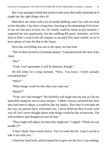But I was starting to think that maybe in the ways that really mattered, he'd taught me the right things after all.

Matt drew me closer with a lot of careful shifting, until I lay with my head on his shoulder. I lay there a long time, listening to the drumming of his heart. It was too late now to have sex; his family could be home at any moment. I regretted the lost opportunity, but the cuddling felt good. Someday, we'd be back in Matt's room in the off-campus co-op and I'd be more mobile, so we'd have plenty of time for that in the future.

Now that everything was out in the open, we had time.

"We've been invited to Christmas dinner," I murmured into the skin of his chest.

" $We$ ?"

"Yeah. Can't guarantee it will be pleasant, though."

He fell silent for a long moment. "Wow. You know, I never actually considered that."

"What?"

"What things would be like after you came out."

"Really?"

"Yeah. Isn't that strange?" He chuffed a soft laugh into my hair as I let my hand drift along his arm in slow strokes. "I think I always assumed that after they had time to adjust, it would be like my family. That they'd welcome me the way my parents have welcomed you. I never believed they'd truly write you off, but I never thought about what things would be like in-between. The awkwardness and disapproval and all that."

"They might still adjust, but then they might not." I sighed. "Think you can handle it?"

"I don't think I have much choice. You've come this far. Least I can do is ride it out with you."

I tilted my head back, and he turned his to give me the kiss I was seeking.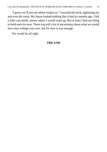"I guess we'll just see where it takes us." I nuzzled his neck, tightening my arm over his waist. My future looked nothing like it had six months ago. I felt a little cast adrift, unsure where I would wash up. But at least I had one thing to hold onto for now. There was still a lot of uncertainty about what we would face once college was over, but for now it was enough.

We would be all right.

## **THE END**